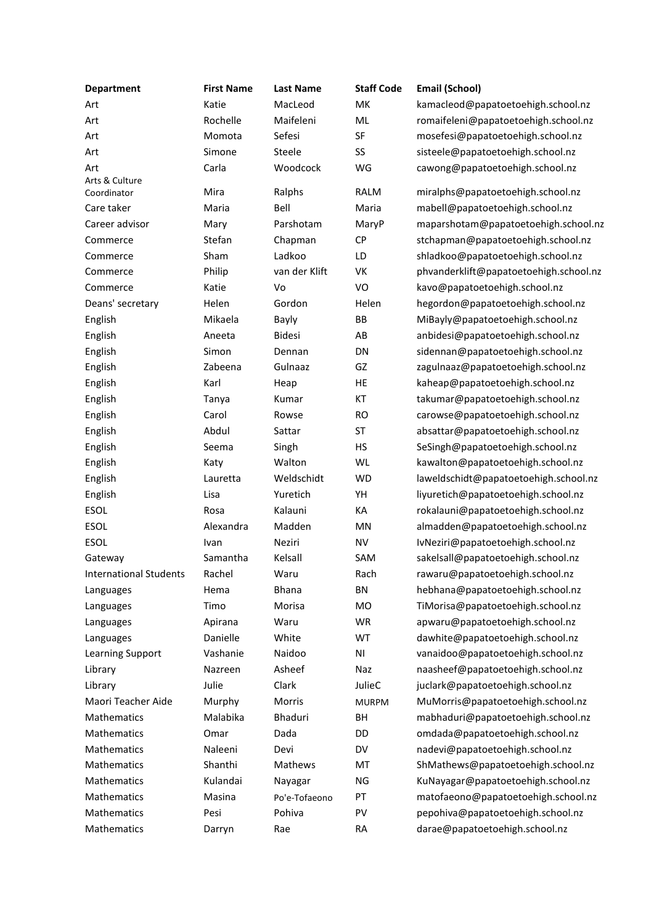| <b>Department</b>             | <b>First Name</b> | <b>Last Name</b> | <b>Staff Code</b> | <b>Email (School)</b>                  |
|-------------------------------|-------------------|------------------|-------------------|----------------------------------------|
| Art                           | Katie             | MacLeod          | MK                | kamacleod@papatoetoehigh.school.nz     |
| Art                           | Rochelle          | Maifeleni        | ML                | romaifeleni@papatoetoehigh.school.nz   |
| Art                           | Momota            | Sefesi           | SF                | mosefesi@papatoetoehigh.school.nz      |
| Art                           | Simone            | Steele           | SS                | sisteele@papatoetoehigh.school.nz      |
| Art                           | Carla             | Woodcock         | WG                | cawong@papatoetoehigh.school.nz        |
| Arts & Culture<br>Coordinator | Mira              | Ralphs           | RALM              | miralphs@papatoetoehigh.school.nz      |
| Care taker                    | Maria             | Bell             | Maria             | mabell@papatoetoehigh.school.nz        |
| Career advisor                | Mary              | Parshotam        | MaryP             | maparshotam@papatoetoehigh.school.nz   |
| Commerce                      | Stefan            | Chapman          | CP                | stchapman@papatoetoehigh.school.nz     |
| Commerce                      | Sham              | Ladkoo           | LD                | shladkoo@papatoetoehigh.school.nz      |
| Commerce                      | Philip            | van der Klift    | VK                | phvanderklift@papatoetoehigh.school.nz |
| Commerce                      | Katie             | Vo               | VO                | kavo@papatoetoehigh.school.nz          |
| Deans' secretary              | Helen             | Gordon           | Helen             | hegordon@papatoetoehigh.school.nz      |
| English                       | Mikaela           | <b>Bayly</b>     | BB                | MiBayly@papatoetoehigh.school.nz       |
| English                       | Aneeta            | <b>Bidesi</b>    | AB                | anbidesi@papatoetoehigh.school.nz      |
| English                       | Simon             | Dennan           | DN                | sidennan@papatoetoehigh.school.nz      |
| English                       | Zabeena           | Gulnaaz          | GZ                | zagulnaaz@papatoetoehigh.school.nz     |
| English                       | Karl              | Heap             | HE                | kaheap@papatoetoehigh.school.nz        |
| English                       | Tanya             | Kumar            | КT                | takumar@papatoetoehigh.school.nz       |
| English                       | Carol             | Rowse            | <b>RO</b>         | carowse@papatoetoehigh.school.nz       |
| English                       | Abdul             | Sattar           | ST                | absattar@papatoetoehigh.school.nz      |
| English                       | Seema             | Singh            | HS                | SeSingh@papatoetoehigh.school.nz       |
| English                       | Katy              | Walton           | <b>WL</b>         | kawalton@papatoetoehigh.school.nz      |
|                               |                   | Weldschidt       | <b>WD</b>         | laweldschidt@papatoetoehigh.school.nz  |
| English                       | Lauretta<br>Lisa  | Yuretich         | YH                |                                        |
| English                       |                   |                  |                   | liyuretich@papatoetoehigh.school.nz    |
| ESOL                          | Rosa              | Kalauni          | КA                | rokalauni@papatoetoehigh.school.nz     |
| ESOL                          | Alexandra         | Madden           | MN                | almadden@papatoetoehigh.school.nz      |
| ESOL                          | Ivan              | Neziri           | <b>NV</b>         | IvNeziri@papatoetoehigh.school.nz      |
| Gateway                       | Samantha          | Kelsall          | SAM               | sakelsall@papatoetoehigh.school.nz     |
| <b>International Students</b> | Rachel            | Waru             | Rach              | rawaru@papatoetoehigh.school.nz        |
| Languages                     | Hema              | <b>Bhana</b>     | <b>BN</b>         | hebhana@papatoetoehigh.school.nz       |
| Languages                     | Timo              | Morisa           | <b>MO</b>         | TiMorisa@papatoetoehigh.school.nz      |
| Languages                     | Apirana           | Waru             | WR                | apwaru@papatoetoehigh.school.nz        |
| Languages                     | Danielle          | White            | WT                | dawhite@papatoetoehigh.school.nz       |
| <b>Learning Support</b>       | Vashanie          | Naidoo           | N <sub>1</sub>    | vanaidoo@papatoetoehigh.school.nz      |
| Library                       | Nazreen           | Asheef           | Naz               | naasheef@papatoetoehigh.school.nz      |
| Library                       | Julie             | Clark            | JulieC            | juclark@papatoetoehigh.school.nz       |
| Maori Teacher Aide            | Murphy            | Morris           | <b>MURPM</b>      | MuMorris@papatoetoehigh.school.nz      |
| Mathematics                   | Malabika          | Bhaduri          | BH                | mabhaduri@papatoetoehigh.school.nz     |
| Mathematics                   | Omar              | Dada             | DD                | omdada@papatoetoehigh.school.nz        |
| Mathematics                   | Naleeni           | Devi             | <b>DV</b>         | nadevi@papatoetoehigh.school.nz        |
| Mathematics                   | Shanthi           | Mathews          | MT                | ShMathews@papatoetoehigh.school.nz     |
| Mathematics                   | Kulandai          | Nayagar          | NG                | KuNayagar@papatoetoehigh.school.nz     |
| Mathematics                   | Masina            | Po'e-Tofaeono    | PT                | matofaeono@papatoetoehigh.school.nz    |
| Mathematics                   | Pesi              | Pohiva           | PV                | pepohiva@papatoetoehigh.school.nz      |
| Mathematics                   | Darryn            | Rae              | <b>RA</b>         | darae@papatoetoehigh.school.nz         |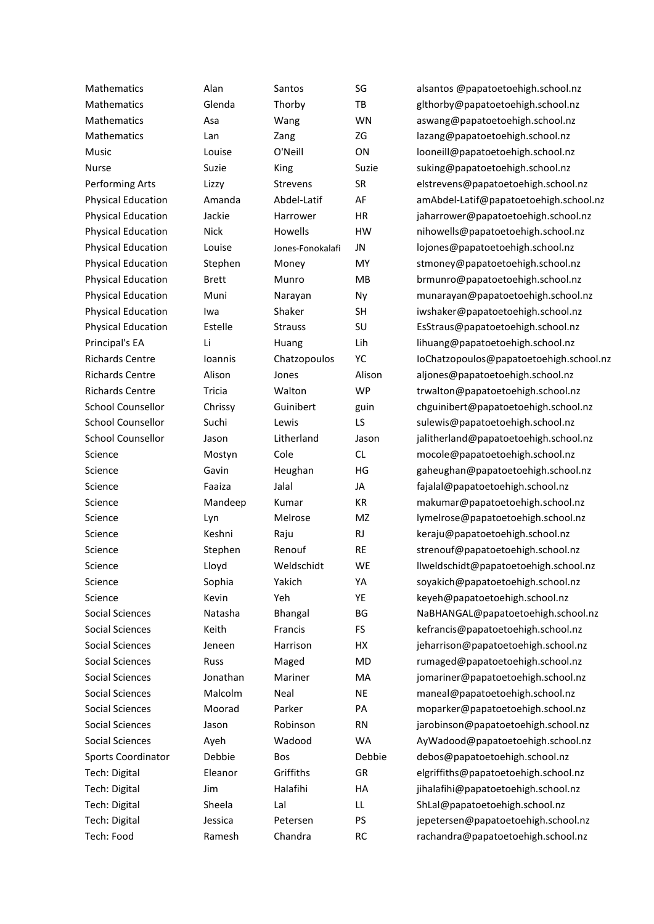Mathematics Alan Santos SG alsantos @papatoetoehigh.school.nz Mathematics Glenda Thorby TB glthorby@papatoetoehigh.school.nz Mathematics Asa Wang WN aswang@papatoetoehigh.school.nz Mathematics Lan Zang ZG lazang@papatoetoehigh.school.nz Music Louise O'Neill ON looneill@papatoetoehigh.school.nz Nurse Suzie King Suzie Suzie suking@papatoetoehigh.school.nz Performing Arts Lizzy Strevens SR elstrevens@papatoetoehigh.school.nz Physical Education Amanda Abdel-Latif AF amAbdel-Latif@papatoetoehigh.school.nz Physical Education Jackie Harrower HR jaharrower@papatoetoehigh.school.nz Physical Education Nick Howells HW nihowells@papatoetoehigh.school.nz Physical Education Louise Jones-Fonokalafi JN lojones@papatoetoehigh.school.nz Physical Education Stephen Money MY stmoney@papatoetoehigh.school.nz Physical Education Brett Munro MB brmunro@papatoetoehigh.school.nz Physical Education Muni Narayan Ny munarayan@papatoetoehigh.school.nz Physical Education Iwa Shaker SH iwshaker@papatoetoehigh.school.nz Physical Education Estelle Strauss SU EsStraus@papatoetoehigh.school.nz Principal's EA Li Huang Lih lihuang@papatoetoehigh.school.nz Richards Centre Ioannis Chatzopoulos YC IoChatzopoulos@papatoetoehigh.school.nz Richards Centre Alison Jones Alison aljones@papatoetoehigh.school.nz Richards Centre Tricia Walton WP trwalton@papatoetoehigh.school.nz School Counsellor Chrissy Guinibert guin chguinibert@papatoetoehigh.school.nz School Counsellor Suchi Lewis LS sulewis@papatoetoehigh.school.nz School Counsellor Jason Litherland Jason jalitherland@papatoetoehigh.school.nz Science Mostyn Cole CL mocole@papatoetoehigh.school.nz Science **Savin** Heughan HG gaheughan@papatoetoehigh.school.nz Science Faaiza Jalal JA fajalal@papatoetoehigh.school.nz Science **Mandeep Kumar KR** makumar@papatoetoehigh.school.nz Science Eyn Melrose MZ lymelrose@papatoetoehigh.school.nz Science **Keshni** Raju Raju RJ keraju@papatoetoehigh.school.nz Science Stephen Renouf RE strenouf@papatoetoehigh.school.nz Science Lloyd Weldschidt WE llweldschidt@papatoetoehigh.school.nz Science Sophia Yakich YA soyakich@papatoetoehigh.school.nz Science Kevin Yeh YE keyeh@papatoetoehigh.school.nz Social Sciences Natasha Bhangal BG NaBHANGAL@papatoetoehigh.school.nz Social Sciences Keith Francis FS kefrancis@papatoetoehigh.school.nz Social Sciences Jeneen Harrison HX jeharrison@papatoetoehigh.school.nz Social Sciences Russ Maged MD rumaged@papatoetoehigh.school.nz Social Sciences **Social Sciences** Jonathan Mariner MA jomariner@papatoetoehigh.school.nz Social Sciences Malcolm Neal NE maneal@papatoetoehigh.school.nz Social Sciences Moorad Parker PA moparker@papatoetoehigh.school.nz Social Sciences Jason Robinson RN jarobinson@papatoetoehigh.school.nz Social Sciences Ayeh Wadood WA AyWadood@papatoetoehigh.school.nz Sports Coordinator Debbie Bos Debbie debos@papatoetoehigh.school.nz Tech: Digital Eleanor Griffiths GR elgriffiths@papatoetoehigh.school.nz Tech: Digital Jim Halafihi HA jihalafihi@papatoetoehigh.school.nz Tech: Digital Sheela Lal LL ShLal@papatoetoehigh.school.nz Tech: Digital Jessica Petersen PS jepetersen@papatoetoehigh.school.nz Tech: Food Ramesh Chandra RC rachandra@papatoetoehigh.school.nz